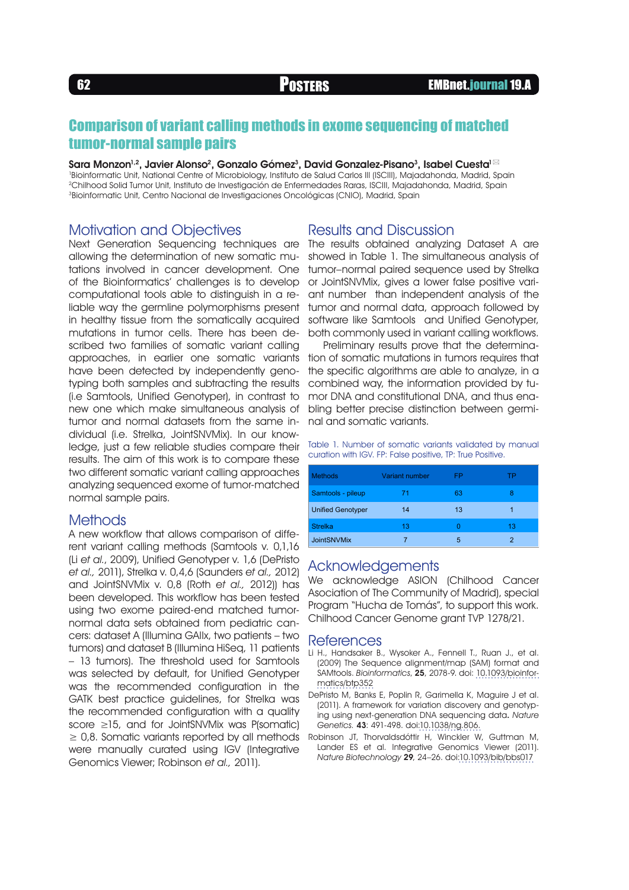## Comparison of variant calling methods in exome sequencing of matched tumor-normal sample pairs

Sara Monzon $^{1,2}$ , Javier Alonso $^2$ , Gonzalo Gómez $^3$ , David Gonzalez-Pisano $^3$ , Isabel Cuesta $^{1\,\boxtimes}$ 

<sup>1</sup>Bioinformatic Unit, National Centre of Microbiology, Instituto de Salud Carlos III (ISCIII), Majadahonda, Madrid, Spain 2Chilhood Solid Tumor Unit, Instituto de Investigación de Enfermedades Raras, ISCIII, Majadahonda, Madrid, Spain 3Bioinformatic Unit, Centro Nacional de Investigaciones Oncológicas (CNIO), Madrid, Spain

### Motivation and Objectives

Next Generation Sequencing techniques are allowing the determination of new somatic mutations involved in cancer development. One of the Bioinformatics' challenges is to develop computational tools able to distinguish in a reliable way the germline polymorphisms present in healthy tissue from the somatically acquired mutations in tumor cells. There has been described two families of somatic variant calling approaches, in earlier one somatic variants have been detected by independently genotyping both samples and subtracting the results (i.e Samtools, Unified Genotyper), in contrast to new one which make simultaneous analysis of tumor and normal datasets from the same individual (i.e. Strelka, JointSNVMix). In our knowledge, just a few reliable studies compare their results. The aim of this work is to compare these two different somatic variant calling approaches analyzing sequenced exome of tumor-matched normal sample pairs.

#### Methods

A new workflow that allows comparison of different variant calling methods (Samtools v. 0,1,16 (Li et al., 2009), Unified Genotyper v. 1,6 (DePristo et al., 2011), Strelka v. 0,4,6 (Saunders et al., 2012) and JointSNVMix v. 0,8 (Roth et al., 2012)) has been developed. This workflow has been tested using two exome paired-end matched tumornormal data sets obtained from pediatric cancers: dataset A (Illumina GAIIx, two patients – two tumors) and dataset B (Illumina HiSeq, 11 patients – 13 tumors). The threshold used for Samtools was selected by default, for Unified Genotyper was the recommended configuration in the GATK best practice guidelines, for Strelka was the recommended configuration with a quality score ≥15, and for JointSNVMix was P(somatic)  $\geq$  0,8. Somatic variants reported by all methods were manually curated using IGV (Integrative Genomics Viewer; Robinson et al., 2011).

### Results and Discussion

The results obtained analyzing Dataset A are showed in Table 1. The simultaneous analysis of tumor–normal paired sequence used by Strelka or JointSNVMix, gives a lower false positive variant number than independent analysis of the tumor and normal data, approach followed by software like Samtools and Unified Genotyper, both commonly used in variant calling workflows.

Preliminary results prove that the determination of somatic mutations in tumors requires that the specific algorithms are able to analyze, in a combined way, the information provided by tumor DNA and constitutional DNA, and thus enabling better precise distinction between germinal and somatic variants.

Table 1. Number of somatic variants validated by manual curation with IGV. FP: False positive, TP: True Positive.

| <b>Methods</b>           | <b>Variant number</b> | FP | ТP |
|--------------------------|-----------------------|----|----|
| Samtools - pileup        | 71                    | 63 | 8  |
| <b>Unified Genotyper</b> | 14                    | 13 | 1  |
| <b>Strelka</b>           | 13                    | O  | 13 |
| <b>JointSNVMix</b>       |                       | 5  | 2  |

#### Acknowledgements

We acknowledge ASION (Chilhood Cancer Asociation of The Community of Madrid), special Program "Hucha de Tomás", to support this work. Chilhood Cancer Genome grant TVP 1278/21.

#### **References**

- Li H., Handsaker B., Wysoker A., Fennell T., Ruan J., et al. (2009) The Sequence alignment/map (SAM) format and SAMtools. Bioinformatics, 25, 2078-9. doi: [10.1093/bioinfor](http://dx.doi.org/10.1093/bioinformatics/btp352)[matics/btp352](http://dx.doi.org/10.1093/bioinformatics/btp352)
- DePristo M, Banks E, Poplin R, Garimella K, Maguire J et al. (2011). A framework for variation discovery and genotyping using next-generation DNA sequencing data. Nature Genetics. 43: 491-498. doi[:10.1038/ng.806.](http://dx.doi.org/10.1038/ng.806.
)
- [Robinson JT, Thorvaldsdóttir H, Winckler W, Guttman M,](http://dx.doi.org/10.1038/ng.806.
) [Lander ES et al. Integrative Genomics Viewer \(2011\).](http://dx.doi.org/10.1038/ng.806.
) Nature Biotechnology 29[, 24–26. doi:10.1093/bib/bbs017](http://dx.doi.org/10.1038/ng.806.
)